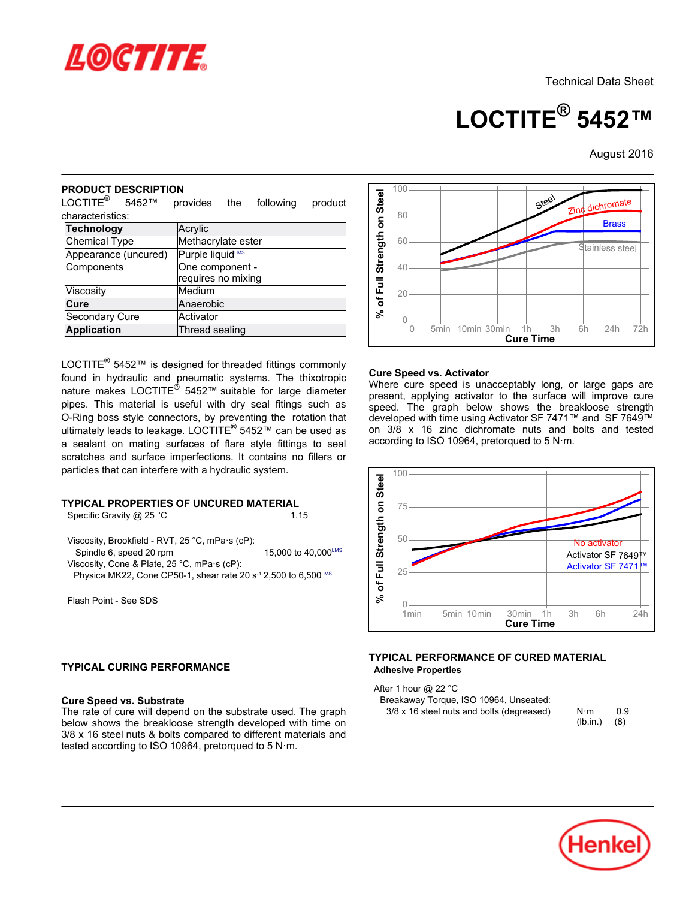

**LOCTITE® 5452™**

August-2016

## **PRODUCT DESCRIPTION**

| יוטוו זואטכםע ו טטעטר<br>LOCTITE <sup>®</sup><br>5452™                                                                                                                                                                                  | provides<br>following<br>the<br>product                                                                                                                                                                                                                                                                                                                                                                                                                                 |
|-----------------------------------------------------------------------------------------------------------------------------------------------------------------------------------------------------------------------------------------|-------------------------------------------------------------------------------------------------------------------------------------------------------------------------------------------------------------------------------------------------------------------------------------------------------------------------------------------------------------------------------------------------------------------------------------------------------------------------|
| characteristics:                                                                                                                                                                                                                        |                                                                                                                                                                                                                                                                                                                                                                                                                                                                         |
| <b>Technology</b>                                                                                                                                                                                                                       | Acrylic                                                                                                                                                                                                                                                                                                                                                                                                                                                                 |
| <b>Chemical Type</b>                                                                                                                                                                                                                    | Methacrylate ester                                                                                                                                                                                                                                                                                                                                                                                                                                                      |
| Appearance (uncured)                                                                                                                                                                                                                    | Purple liquidLMS                                                                                                                                                                                                                                                                                                                                                                                                                                                        |
| Components                                                                                                                                                                                                                              | One component -<br>requires no mixing                                                                                                                                                                                                                                                                                                                                                                                                                                   |
| Viscosity                                                                                                                                                                                                                               | Medium                                                                                                                                                                                                                                                                                                                                                                                                                                                                  |
| Cure                                                                                                                                                                                                                                    | Anaerobic                                                                                                                                                                                                                                                                                                                                                                                                                                                               |
| Secondary Cure                                                                                                                                                                                                                          | Activator                                                                                                                                                                                                                                                                                                                                                                                                                                                               |
| <b>Application</b>                                                                                                                                                                                                                      | Thread sealing                                                                                                                                                                                                                                                                                                                                                                                                                                                          |
| particles that can interfere with a hydraulic system.<br>Specific Gravity @ 25 °C<br>Viscosity, Brookfield - RVT, 25 °C, mPa·s (cP):<br>Spindle 6, speed 20 rpm<br>Viscosity, Cone & Plate, 25 °C, mPa·s (cP):<br>Flash Point - See SDS | spe<br>O-Ring boss style connectors, by preventing the rotation that<br>dev<br>ultimately leads to leakage. LOCTITE <sup>®</sup> 5452™ can be used as<br>on<br>acc<br>a sealant on mating surfaces of flare style fittings to seal<br>scratches and surface imperfections. It contains no fillers or<br>TYPICAL PROPERTIES OF UNCURED MATERIAL<br>1.15<br>15,000 to 40,000LMS<br>Physica MK22, Cone CP50-1, shear rate 20 s <sup>-1</sup> 2,500 to 6,500 <sup>LMS</sup> |
| <b>TYPICAL CURING PERFORMANCE</b><br><b>Cure Speed vs. Substrate</b>                                                                                                                                                                    | <b>TYF</b><br>The rate of cure will depend on the substrate used. The graph<br>below shows the breakloose strength developed with time on<br>3/8 x 16 steel nuts & bolts compared to different materials and                                                                                                                                                                                                                                                            |

## **TYPICAL PROPERTIES OF UNCURED MATERIAL**

## **TYPICAL CURING PERFORMANCE**

### **Cure Speed vs. Substrate**



### **Cure Speed vs. Activator**

Where cure speed is unacceptably long, or large gaps are present, applying activator to the surface will improve cure present, applying activator to the sanace will improve care<br>speed. The graph below shows the breakloose strength developed with time using Activator SF 7471™ and SF 7649™ on 3/8 x 16 zinc dichromate nuts and bolts and tested according to ISO 10964, pretorqued to 5 N·m.



#### **TYPICAL PERFORMANCE OF CURED MATERIAL Adhesive Properties**

After 1 hour @ 22 °C Breakaway

| Breakaway Torque, ISO 10964, Unseated:    |                 |            |
|-------------------------------------------|-----------------|------------|
| 3/8 x 16 steel nuts and bolts (degreased) | N⋅m<br>(lb.in.) | 0.9<br>(8) |
|                                           |                 |            |

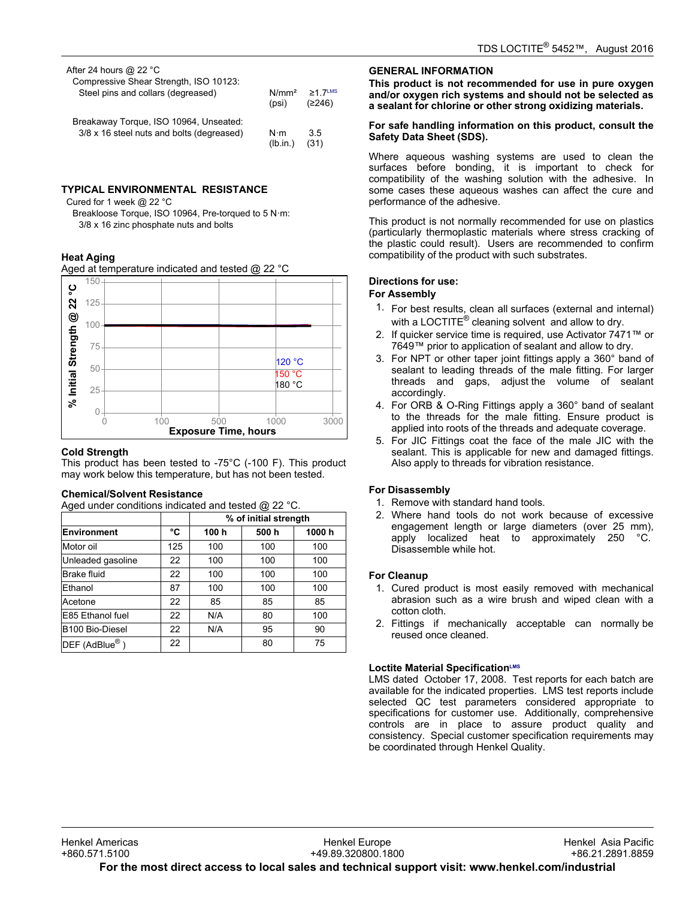| After 24 hours @ 22 $^{\circ}$ C<br>Compressive Shear Strength, ISO 10123:<br>Steel pins and collars (degreased) | N/mm <sup>2</sup><br>(psi) | $>1$ 7 LMS<br>(2246) |
|------------------------------------------------------------------------------------------------------------------|----------------------------|----------------------|
| Breakaway Torque, ISO 10964, Unseated:                                                                           | N⋅m                        | 35                   |
| 3/8 x 16 steel nuts and bolts (degreased)                                                                        | (lb.in.)                   | (31)                 |

# **TYPICAL ENVIRONMENTAL RESISTANCE**

Cured for 1 week @ 22 °C

Breakloose Torque, ISO 10964, Pre-torqued to 5 N·m: 3/8 x 16 zinc phosphate nuts and bolts

## **Heat Aging**

Aged at temperature indicated and tested @ 22 °C



### **Cold Strength**

This product has been tested to -75°C (-100 F). This product may product has been tested to -75 G (-166 F). This pro<br>may work below this temperature, but has not been tested.

## **Chemical/Solvent Resistance**

Aged under conditions indicated and tested @ 22 °C.

|                              |     | % of initial strength |       |       |
|------------------------------|-----|-----------------------|-------|-------|
| Environment                  | °C  | 100 h                 | 500 h | 1000h |
| Motor oil                    | 125 | 100                   | 100   | 100   |
| Unleaded gasoline            | 22  | 100                   | 100   | 100   |
| Brake fluid                  | 22  | 100                   | 100   | 100   |
| Ethanol                      | 87  | 100                   | 100   | 100   |
| Acetone                      | 22  | 85                    | 85    | 85    |
| E85 Ethanol fuel             | 22  | N/A                   | 80    | 100   |
| B100 Bio-Diesel              | 22  | N/A                   | 95    | 90    |
| $DEF$ (AdBlue <sup>®</sup> ) | 22  |                       | 80    | 75    |

## **GENERAL INFORMATION**

**This product is not recommended for use in pure oxygen and/or oxygen rich systems and should not be selected as a sealant for chlorine or other strong oxidizing materials.**

#### **For safe handling information on this product, consult the Safety Data Sheet (SDS).**

Where aqueous washing systems are used to clean the surfaces before bonding, it is important to check for compatibility of the washing solution with the adhesive. In some cases these aqueous washes can affect the cure and performance of the adhesive.

This product is not normally recommended for use on plastics (particularly thermoplastic materials where stress cracking of the plastic could result). Users are recommended to confirm are plastic codid resulty. Obers are recommentationally

## **Directions for use:**

# **For Assembly**

- 1. For best results, clean all surfaces (external and internal) or seet resulte, siearl all sarraces (external and in<br>with a LOCTITE® cleaning solvent and allow to dry.
- 2. If quicker service time is required, use Activator 7471™ or 7649™ prior to application of sealant and allow to dry.
- 3. For NPT or other taper joint fittings apply a 360° band of sealant to leading threads of the male fitting. For larger threads and gaps, adjust the volume of sealant accordingly.
- 4. For ORB & O-Ring Fittings apply a 360° band of sealant to the threads for the male fitting. Ensure product is applied into roots of the threads and adequate coverage.
- 5. For JIC Fittings coat the face of the male JIC with the sealant. This is applicable for new and damaged fittings. Also apply to threads for vibration resistance.

## **For Disassembly**

- <sup>2</sup>. Presectiver<sub>s</sub><br>1. Remove with standard hand tools.
- 2. Where hand tools do not work because of excessive engagement length or large diameters (over 25 mm), apply localized heat to approximately 250 °C. appry focalized rice<br>Disassemble while hot.

## **For Cleanup**

- 1. Cured product is most easily removed with mechanical abrasion such as a wire brush and wiped clean with a cotton cloth.
- 2. Fittings if mechanically acceptable can normally be r ittings in incondition<br>reused once cleaned.

## **Loctite Material SpecificationLMS**

LMS dated October-17, 2008. Test reports for each batch are available for the indicated properties. LMS test reports include selected QC test parameters considered appropriate to specifications for customer use. Additionally, comprehensive controls are in place to assure product quality and consistency. Special customer specification requirements may be coordinated through Henkel Quality.